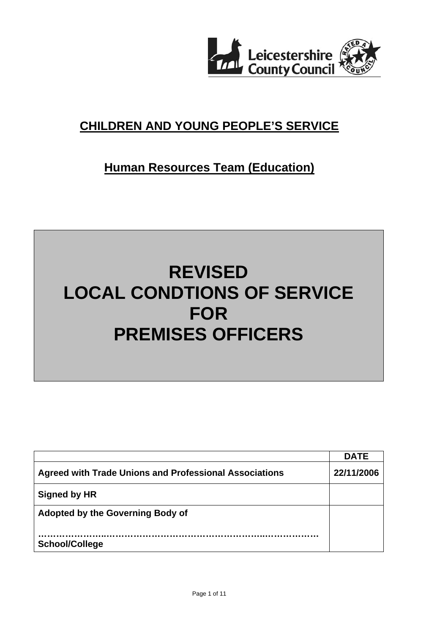

# **CHILDREN AND YOUNG PEOPLE'S SERVICE**

# **Human Resources Team (Education)**

# **REVISED LOCAL CONDTIONS OF SERVICE FOR PREMISES OFFICERS**

|                                                               | <b>DATE</b> |
|---------------------------------------------------------------|-------------|
| <b>Agreed with Trade Unions and Professional Associations</b> | 22/11/2006  |
| Signed by HR                                                  |             |
| <b>Adopted by the Governing Body of</b>                       |             |
| <b>School/College</b>                                         |             |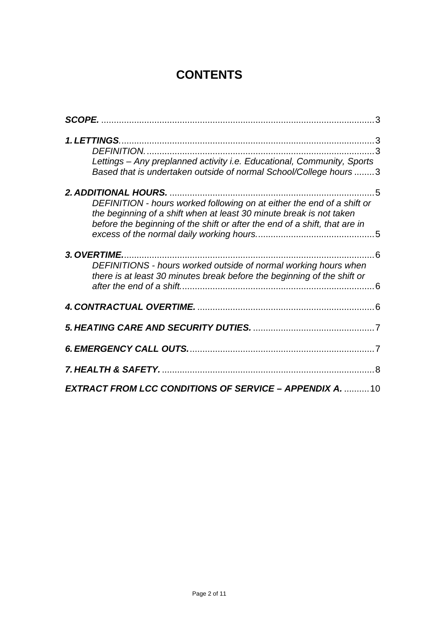# **CONTENTS**

| Lettings - Any preplanned activity i.e. Educational, Community, Sports<br>Based that is undertaken outside of normal School/College hours 3                                                                                 |
|-----------------------------------------------------------------------------------------------------------------------------------------------------------------------------------------------------------------------------|
| DEFINITION - hours worked following on at either the end of a shift or<br>the beginning of a shift when at least 30 minute break is not taken<br>before the beginning of the shift or after the end of a shift, that are in |
| 3. OVERTIME.<br>DEFINITIONS - hours worked outside of normal working hours when<br>there is at least 30 minutes break before the beginning of the shift or                                                                  |
|                                                                                                                                                                                                                             |
|                                                                                                                                                                                                                             |
|                                                                                                                                                                                                                             |
|                                                                                                                                                                                                                             |
| <b>EXTRACT FROM LCC CONDITIONS OF SERVICE - APPENDIX A.  10</b>                                                                                                                                                             |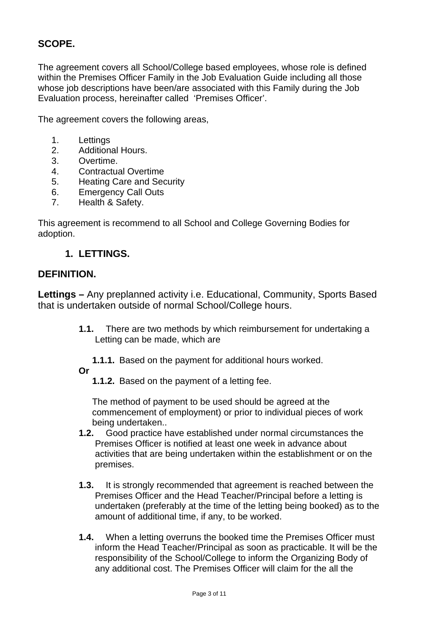# **SCOPE.**

The agreement covers all School/College based employees, whose role is defined within the Premises Officer Family in the Job Evaluation Guide including all those whose job descriptions have been/are associated with this Family during the Job Evaluation process, hereinafter called 'Premises Officer'.

The agreement covers the following areas,

- 1. Lettings
- 2. Additional Hours.
- 3. Overtime.
- 4. Contractual Overtime
- 5. Heating Care and Security
- 6. Emergency Call Outs
- 7. Health & Safety.

This agreement is recommend to all School and College Governing Bodies for adoption.

#### **1. LETTINGS.**

#### **DEFINITION.**

**Lettings –** Any preplanned activity i.e. Educational, Community, Sports Based that is undertaken outside of normal School/College hours.

- **1.1.** There are two methods by which reimbursement for undertaking a Letting can be made, which are
	- **1.1.1.** Based on the payment for additional hours worked.

**Or** 

**1.1.2.** Based on the payment of a letting fee.

The method of payment to be used should be agreed at the commencement of employment) or prior to individual pieces of work being undertaken..

- **1.2.** Good practice have established under normal circumstances the Premises Officer is notified at least one week in advance about activities that are being undertaken within the establishment or on the premises.
- **1.3.** It is strongly recommended that agreement is reached between the Premises Officer and the Head Teacher/Principal before a letting is undertaken (preferably at the time of the letting being booked) as to the amount of additional time, if any, to be worked.
- **1.4.** When a letting overruns the booked time the Premises Officer must inform the Head Teacher/Principal as soon as practicable. It will be the responsibility of the School/College to inform the Organizing Body of any additional cost. The Premises Officer will claim for the all the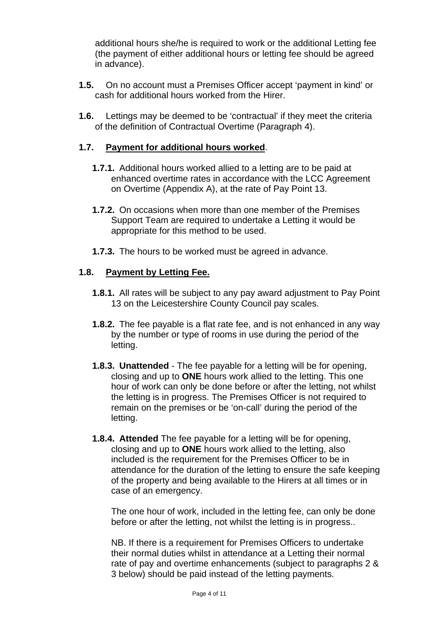additional hours she/he is required to work or the additional Letting fee (the payment of either additional hours or letting fee should be agreed in advance).

- **1.5.** On no account must a Premises Officer accept 'payment in kind' or cash for additional hours worked from the Hirer.
- **1.6.** Lettings may be deemed to be 'contractual' if they meet the criteria of the definition of Contractual Overtime (Paragraph 4).

#### **1.7. Payment for additional hours worked**.

- **1.7.1.** Additional hours worked allied to a letting are to be paid at enhanced overtime rates in accordance with the LCC Agreement on Overtime (Appendix A), at the rate of Pay Point 13.
- **1.7.2.** On occasions when more than one member of the Premises Support Team are required to undertake a Letting it would be appropriate for this method to be used.
- **1.7.3.** The hours to be worked must be agreed in advance.

#### **1.8. Payment by Letting Fee.**

- **1.8.1.** All rates will be subject to any pay award adjustment to Pay Point 13 on the Leicestershire County Council pay scales.
- **1.8.2.** The fee payable is a flat rate fee, and is not enhanced in any way by the number or type of rooms in use during the period of the letting.
- **1.8.3. Unattended** The fee payable for a letting will be for opening, closing and up to **ONE** hours work allied to the letting. This one hour of work can only be done before or after the letting, not whilst the letting is in progress. The Premises Officer is not required to remain on the premises or be 'on-call' during the period of the letting.
- **1.8.4. Attended** The fee payable for a letting will be for opening, closing and up to **ONE** hours work allied to the letting, also included is the requirement for the Premises Officer to be in attendance for the duration of the letting to ensure the safe keeping of the property and being available to the Hirers at all times or in case of an emergency.

The one hour of work, included in the letting fee, can only be done before or after the letting, not whilst the letting is in progress..

NB. If there is a requirement for Premises Officers to undertake their normal duties whilst in attendance at a Letting their normal rate of pay and overtime enhancements (subject to paragraphs 2 & 3 below) should be paid instead of the letting payments.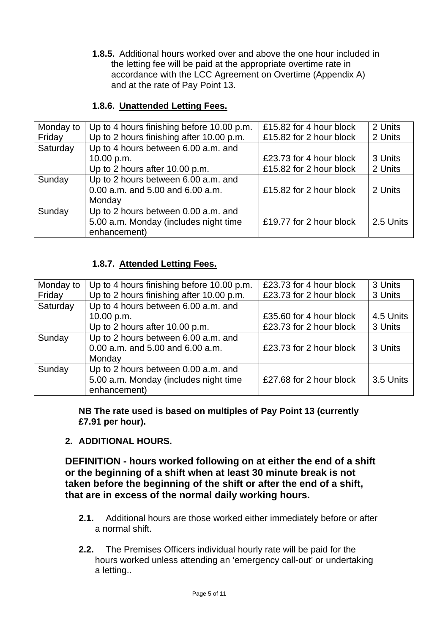**1.8.5.** Additional hours worked over and above the one hour included in the letting fee will be paid at the appropriate overtime rate in accordance with the LCC Agreement on Overtime (Appendix A) and at the rate of Pay Point 13.

#### **1.8.6. Unattended Letting Fees.**

| Monday to | Up to 4 hours finishing before 10.00 p.m. | £15.82 for 4 hour block | 2 Units   |
|-----------|-------------------------------------------|-------------------------|-----------|
| Friday    | Up to 2 hours finishing after 10.00 p.m.  | £15.82 for 2 hour block | 2 Units   |
| Saturday  | Up to 4 hours between 6.00 a.m. and       |                         |           |
|           | 10.00 p.m.                                | £23.73 for 4 hour block | 3 Units   |
|           | Up to 2 hours after 10.00 p.m.            | £15.82 for 2 hour block | 2 Units   |
| Sunday    | Up to 2 hours between 6.00 a.m. and       |                         |           |
|           | 0.00 a.m. and 5.00 and 6.00 a.m.          | £15.82 for 2 hour block | 2 Units   |
|           | Monday                                    |                         |           |
| Sunday    | Up to 2 hours between 0.00 a.m. and       |                         |           |
|           | 5.00 a.m. Monday (includes night time     | £19.77 for 2 hour block | 2.5 Units |
|           | enhancement)                              |                         |           |

#### **1.8.7. Attended Letting Fees.**

| Monday to | Up to 4 hours finishing before 10.00 p.m. | £23.73 for 4 hour block | 3 Units   |
|-----------|-------------------------------------------|-------------------------|-----------|
| Friday    | Up to 2 hours finishing after 10.00 p.m.  | £23.73 for 2 hour block | 3 Units   |
| Saturday  | Up to 4 hours between 6.00 a.m. and       |                         |           |
|           | 10.00 p.m.                                | £35.60 for 4 hour block | 4.5 Units |
|           | Up to 2 hours after 10.00 p.m.            | £23.73 for 2 hour block | 3 Units   |
| Sunday    | Up to 2 hours between 6.00 a.m. and       |                         |           |
|           | 0.00 a.m. and 5.00 and 6.00 a.m.          | £23.73 for 2 hour block | 3 Units   |
|           | Monday                                    |                         |           |
| Sunday    | Up to 2 hours between 0.00 a.m. and       |                         |           |
|           | 5.00 a.m. Monday (includes night time     | £27.68 for 2 hour block | 3.5 Units |
|           | enhancement)                              |                         |           |

**NB The rate used is based on multiples of Pay Point 13 (currently £7.91 per hour).**

**2. ADDITIONAL HOURS.** 

**DEFINITION - hours worked following on at either the end of a shift or the beginning of a shift when at least 30 minute break is not taken before the beginning of the shift or after the end of a shift, that are in excess of the normal daily working hours.** 

- **2.1.** Additional hours are those worked either immediately before or after a normal shift.
- **2.2.** The Premises Officers individual hourly rate will be paid for the hours worked unless attending an 'emergency call-out' or undertaking a letting..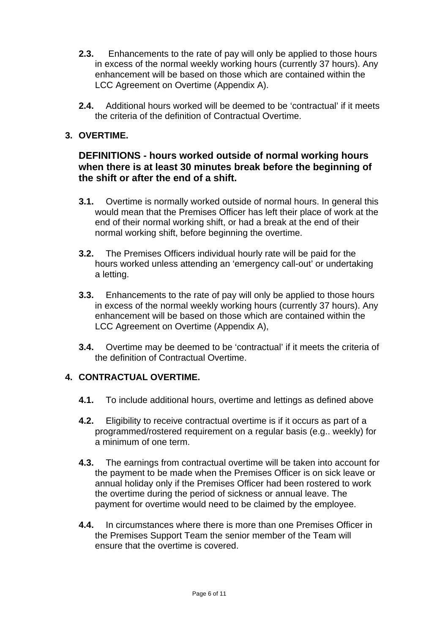- **2.3.** Enhancements to the rate of pay will only be applied to those hours in excess of the normal weekly working hours (currently 37 hours). Any enhancement will be based on those which are contained within the LCC Agreement on Overtime (Appendix A).
- **2.4.** Additional hours worked will be deemed to be 'contractual' if it meets the criteria of the definition of Contractual Overtime.

### **3. OVERTIME.**

#### **DEFINITIONS - hours worked outside of normal working hours when there is at least 30 minutes break before the beginning of the shift or after the end of a shift.**

- **3.1.** Overtime is normally worked outside of normal hours. In general this would mean that the Premises Officer has left their place of work at the end of their normal working shift, or had a break at the end of their normal working shift, before beginning the overtime.
- **3.2.** The Premises Officers individual hourly rate will be paid for the hours worked unless attending an 'emergency call-out' or undertaking a letting.
- **3.3.** Enhancements to the rate of pay will only be applied to those hours in excess of the normal weekly working hours (currently 37 hours). Any enhancement will be based on those which are contained within the LCC Agreement on Overtime (Appendix A),
- **3.4.** Overtime may be deemed to be 'contractual' if it meets the criteria of the definition of Contractual Overtime.

#### **4. CONTRACTUAL OVERTIME.**

- **4.1.** To include additional hours, overtime and lettings as defined above
- **4.2.** Eligibility to receive contractual overtime is if it occurs as part of a programmed/rostered requirement on a regular basis (e.g.. weekly) for a minimum of one term.
- **4.3.** The earnings from contractual overtime will be taken into account for the payment to be made when the Premises Officer is on sick leave or annual holiday only if the Premises Officer had been rostered to work the overtime during the period of sickness or annual leave. The payment for overtime would need to be claimed by the employee.
- **4.4.** In circumstances where there is more than one Premises Officer in the Premises Support Team the senior member of the Team will ensure that the overtime is covered.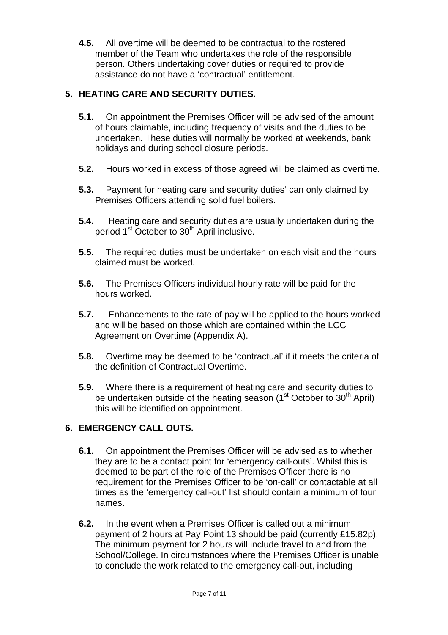**4.5.** All overtime will be deemed to be contractual to the rostered member of the Team who undertakes the role of the responsible person. Others undertaking cover duties or required to provide assistance do not have a 'contractual' entitlement.

## **5. HEATING CARE AND SECURITY DUTIES.**

- **5.1.** On appointment the Premises Officer will be advised of the amount of hours claimable, including frequency of visits and the duties to be undertaken. These duties will normally be worked at weekends, bank holidays and during school closure periods.
- **5.2.** Hours worked in excess of those agreed will be claimed as overtime.
- **5.3.** Payment for heating care and security duties' can only claimed by Premises Officers attending solid fuel boilers.
- **5.4.** Heating care and security duties are usually undertaken during the period 1<sup>st</sup> October to 30<sup>th</sup> April inclusive.
- **5.5.** The required duties must be undertaken on each visit and the hours claimed must be worked.
- **5.6.** The Premises Officers individual hourly rate will be paid for the hours worked.
- **5.7.** Enhancements to the rate of pay will be applied to the hours worked and will be based on those which are contained within the LCC Agreement on Overtime (Appendix A).
- **5.8.** Overtime may be deemed to be 'contractual' if it meets the criteria of the definition of Contractual Overtime.
- **5.9.** Where there is a requirement of heating care and security duties to be undertaken outside of the heating season ( $1<sup>st</sup>$  October to  $30<sup>th</sup>$  April) this will be identified on appointment.

## **6. EMERGENCY CALL OUTS.**

- **6.1.** On appointment the Premises Officer will be advised as to whether they are to be a contact point for 'emergency call-outs'. Whilst this is deemed to be part of the role of the Premises Officer there is no requirement for the Premises Officer to be 'on-call' or contactable at all times as the 'emergency call-out' list should contain a minimum of four names.
- **6.2.** In the event when a Premises Officer is called out a minimum payment of 2 hours at Pay Point 13 should be paid (currently £15.82p). The minimum payment for 2 hours will include travel to and from the School/College. In circumstances where the Premises Officer is unable to conclude the work related to the emergency call-out, including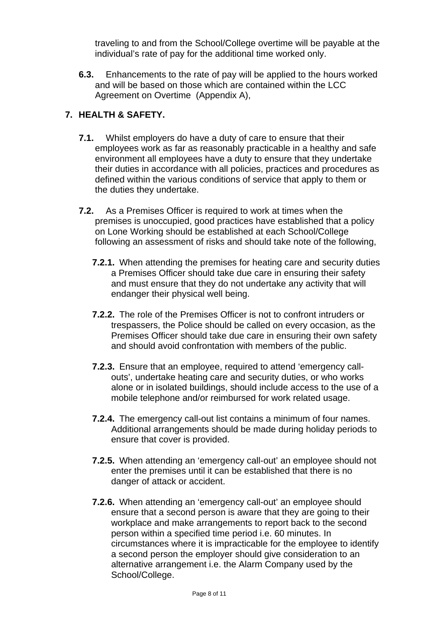traveling to and from the School/College overtime will be payable at the individual's rate of pay for the additional time worked only.

**6.3.** Enhancements to the rate of pay will be applied to the hours worked and will be based on those which are contained within the LCC Agreement on Overtime (Appendix A),

## **7. HEALTH & SAFETY.**

- **7.1.** Whilst employers do have a duty of care to ensure that their employees work as far as reasonably practicable in a healthy and safe environment all employees have a duty to ensure that they undertake their duties in accordance with all policies, practices and procedures as defined within the various conditions of service that apply to them or the duties they undertake.
- **7.2.** As a Premises Officer is required to work at times when the premises is unoccupied, good practices have established that a policy on Lone Working should be established at each School/College following an assessment of risks and should take note of the following,
	- **7.2.1.** When attending the premises for heating care and security duties a Premises Officer should take due care in ensuring their safety and must ensure that they do not undertake any activity that will endanger their physical well being.
	- **7.2.2.** The role of the Premises Officer is not to confront intruders or trespassers, the Police should be called on every occasion, as the Premises Officer should take due care in ensuring their own safety and should avoid confrontation with members of the public.
	- **7.2.3.** Ensure that an employee, required to attend 'emergency callouts', undertake heating care and security duties, or who works alone or in isolated buildings, should include access to the use of a mobile telephone and/or reimbursed for work related usage.
	- **7.2.4.** The emergency call-out list contains a minimum of four names. Additional arrangements should be made during holiday periods to ensure that cover is provided.
	- **7.2.5.** When attending an 'emergency call-out' an employee should not enter the premises until it can be established that there is no danger of attack or accident.
	- **7.2.6.** When attending an 'emergency call-out' an employee should ensure that a second person is aware that they are going to their workplace and make arrangements to report back to the second person within a specified time period i.e. 60 minutes. In circumstances where it is impracticable for the employee to identify a second person the employer should give consideration to an alternative arrangement i.e. the Alarm Company used by the School/College.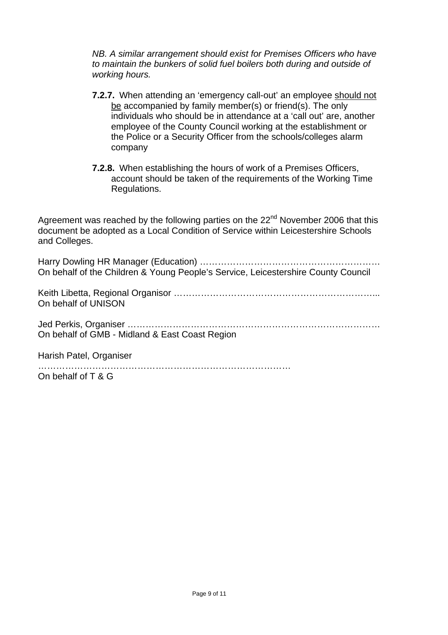*NB. A similar arrangement should exist for Premises Officers who have to maintain the bunkers of solid fuel boilers both during and outside of working hours.* 

- **7.2.7.** When attending an 'emergency call-out' an employee should not be accompanied by family member(s) or friend(s). The only individuals who should be in attendance at a 'call out' are, another employee of the County Council working at the establishment or the Police or a Security Officer from the schools/colleges alarm company
- **7.2.8.** When establishing the hours of work of a Premises Officers, account should be taken of the requirements of the Working Time Regulations.

Agreement was reached by the following parties on the 22<sup>nd</sup> November 2006 that this document be adopted as a Local Condition of Service within Leicestershire Schools and Colleges.

Harry Dowling HR Manager (Education) …………………………………………………… On behalf of the Children & Young People's Service, Leicestershire County Council

Keith Libetta, Regional Organisor …………………………………………………………... On behalf of UNISON

Jed Perkis, Organiser ………………………………………………………………………… On behalf of GMB - Midland & East Coast Region

Harish Patel, Organiser

………………………………………………………………………… On behalf of T & G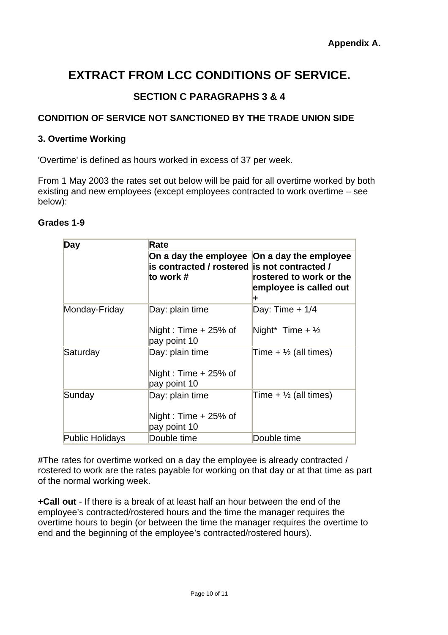# **EXTRACT FROM LCC CONDITIONS OF SERVICE.**

## **SECTION C PARAGRAPHS 3 & 4**

#### **CONDITION OF SERVICE NOT SANCTIONED BY THE TRADE UNION SIDE**

#### **3. Overtime Working**

'Overtime' is defined as hours worked in excess of 37 per week.

From 1 May 2003 the rates set out below will be paid for all overtime worked by both existing and new employees (except employees contracted to work overtime – see below):

#### **Grades 1-9**

| <b>Day</b>             | Rate                                                                                                     |                                                   |  |
|------------------------|----------------------------------------------------------------------------------------------------------|---------------------------------------------------|--|
|                        | On a day the employee On a day the employee<br>is contracted / rostered is not contracted /<br>to work # | rostered to work or the<br>employee is called out |  |
| Monday-Friday          | Day: plain time<br>Night: Time $+25%$ of<br>pay point 10                                                 | Day: Time $+1/4$<br>Night* Time + $\frac{1}{2}$   |  |
| Saturday               | Day: plain time<br>Night: Time $+25%$ of<br>pay point 10                                                 | Time + $\frac{1}{2}$ (all times)                  |  |
| Sunday                 | Day: plain time<br>Night: Time + 25% of<br>pay point 10                                                  | Time + $\frac{1}{2}$ (all times)                  |  |
| <b>Public Holidays</b> | Double time                                                                                              | Double time                                       |  |

**#**The rates for overtime worked on a day the employee is already contracted / rostered to work are the rates payable for working on that day or at that time as part of the normal working week.

**+Call out** - If there is a break of at least half an hour between the end of the employee's contracted/rostered hours and the time the manager requires the overtime hours to begin (or between the time the manager requires the overtime to end and the beginning of the employee's contracted/rostered hours).